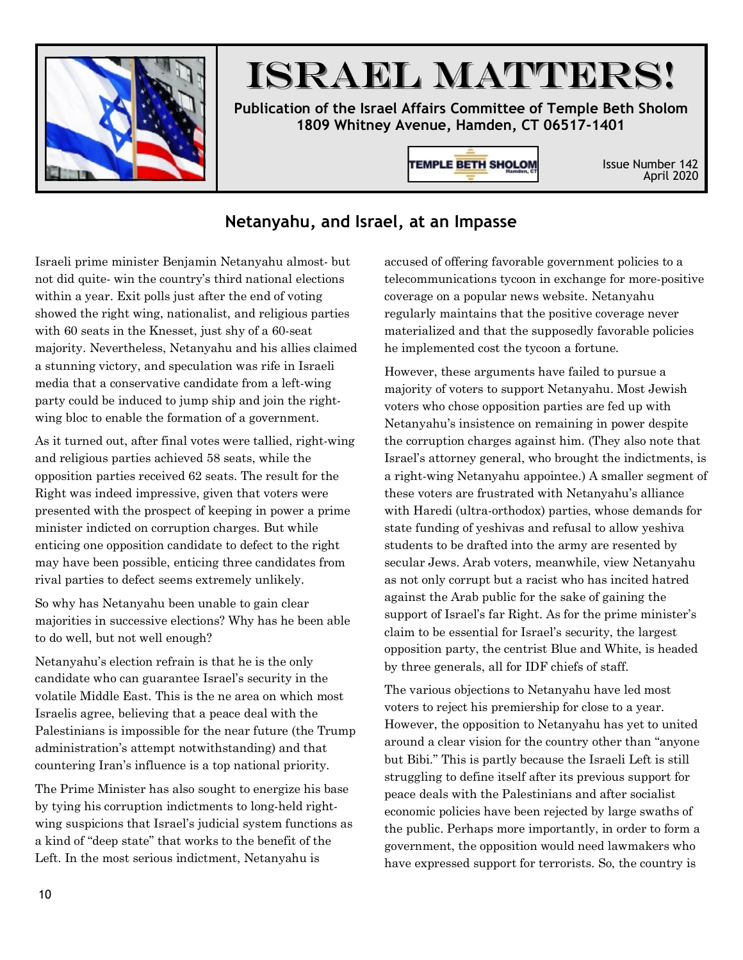

# ISRAEL MATTERS!

**Publication of the Israel Affairs Committee of Temple Beth Sholom 1809 Whitney Avenue, Hamden, CT 06517-1401**

**TEMPLE BETH SHOLOM** 

Issue Number 142 April 2020

### **Netanyahu, and Israel, at an Impasse**

Israeli prime minister Benjamin Netanyahu almost- but not did quite- win the country's third national elections within a year. Exit polls just after the end of voting showed the right wing, nationalist, and religious parties with 60 seats in the Knesset, just shy of a 60-seat majority. Nevertheless, Netanyahu and his allies claimed a stunning victory, and speculation was rife in Israeli media that a conservative candidate from a left-wing party could be induced to jump ship and join the rightwing bloc to enable the formation of a government.

As it turned out, after final votes were tallied, right-wing and religious parties achieved 58 seats, while the opposition parties received 62 seats. The result for the Right was indeed impressive, given that voters were presented with the prospect of keeping in power a prime minister indicted on corruption charges. But while enticing one opposition candidate to defect to the right may have been possible, enticing three candidates from rival parties to defect seems extremely unlikely.

So why has Netanyahu been unable to gain clear majorities in successive elections? Why has he been able to do well, but not well enough?

Netanyahu's election refrain is that he is the only candidate who can guarantee Israel's security in the volatile Middle East. This is the ne area on which most Israelis agree, believing that a peace deal with the Palestinians is impossible for the near future (the Trump administration's attempt notwithstanding) and that countering Iran's influence is a top national priority.

The Prime Minister has also sought to energize his base by tying his corruption indictments to long-held rightwing suspicions that Israel's judicial system functions as a kind of "deep state" that works to the benefit of the Left. In the most serious indictment, Netanyahu is

accused of offering favorable government policies to a telecommunications tycoon in exchange for more-positive coverage on a popular news website. Netanyahu regularly maintains that the positive coverage never materialized and that the supposedly favorable policies he implemented cost the tycoon a fortune.

However, these arguments have failed to pursue a majority of voters to support Netanyahu. Most Jewish voters who chose opposition parties are fed up with Netanyahu's insistence on remaining in power despite the corruption charges against him. (They also note that Israel's attorney general, who brought the indictments, is a right-wing Netanyahu appointee.) A smaller segment of these voters are frustrated with Netanyahu's alliance with Haredi (ultra-orthodox) parties, whose demands for state funding of yeshivas and refusal to allow yeshiva students to be drafted into the army are resented by secular Jews. Arab voters, meanwhile, view Netanyahu as not only corrupt but a racist who has incited hatred against the Arab public for the sake of gaining the support of Israel's far Right. As for the prime minister's claim to be essential for Israel's security, the largest opposition party, the centrist Blue and White, is headed by three generals, all for IDF chiefs of staff.

The various objections to Netanyahu have led most voters to reject his premiership for close to a year. However, the opposition to Netanyahu has yet to united around a clear vision for the country other than "anyone but Bibi." This is partly because the Israeli Left is still struggling to define itself after its previous support for peace deals with the Palestinians and after socialist economic policies have been rejected by large swaths of the public. Perhaps more importantly, in order to form a government, the opposition would need lawmakers who have expressed support for terrorists. So, the country is